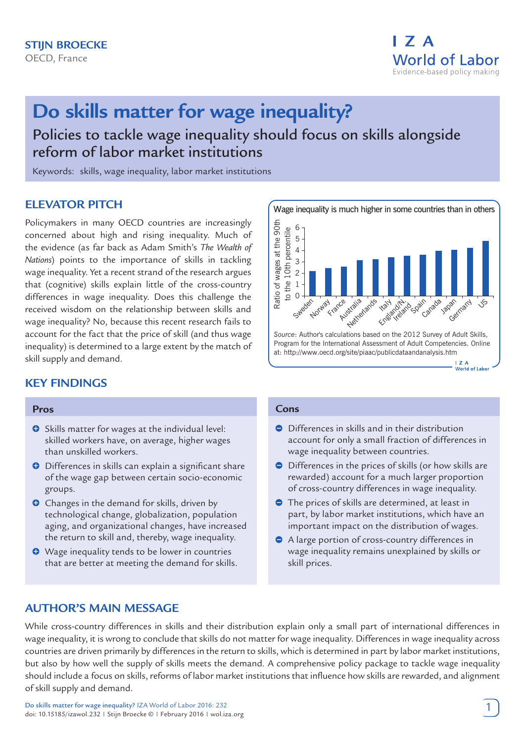

# **Do skills matter for wage inequality?**

Policies to tackle wage inequality should focus on skills alongside reform of labor market institutions

Keywords: skills, wage inequality, labor market institutions

# **ELEVATOR PITCH**

Policymakers in many OECD countries are increasingly concerned about high and rising inequality. Much of the evidence (as far back as Adam Smith's *The Wealth of Nations*) points to the importance of skills in tackling wage inequality. Yet a recent strand of the research argues that (cognitive) skills explain little of the cross-country differences in wage inequality. Does this challenge the received wisdom on the relationship between skills and wage inequality? No, because this recent research fails to account for the fact that the price of skill (and thus wage inequality) is determined to a large extent by the match of skill supply and demand.

# **KEY FINDINGS**

#### **Pros**

- **O** Skills matter for wages at the individual level: skilled workers have, on average, higher wages than unskilled workers.
- **O** Differences in skills can explain a significant share of the wage gap between certain socio-economic groups.
- **O** Changes in the demand for skills, driven by technological change, globalization, population aging, and organizational changes, have increased the return to skill and, thereby, wage inequality.
- Wage inequality tends to be lower in countries that are better at meeting the demand for skills.



#### **Cons**

- **O** Differences in skills and in their distribution account for only a small fraction of differences in wage inequality between countries.
- Differences in the prices of skills (or how skills are rewarded) account for a much larger proportion of cross-country differences in wage inequality.
- The prices of skills are determined, at least in part, by labor market institutions, which have an important impact on the distribution of wages.
- A large portion of cross-country differences in wage inequality remains unexplained by skills or skill prices.

# **AUTHOR'S MAIN MESSAGE**

While cross-country differences in skills and their distribution explain only a small part of international differences in wage inequality, it is wrong to conclude that skills do not matter for wage inequality. Differences in wage inequality across countries are driven primarily by differences in the return to skills, which is determined in part by labor market institutions, but also by how well the supply of skills meets the demand. A comprehensive policy package to tackle wage inequality should include a focus on skills, reforms of labor market institutions that influence how skills are rewarded, and alignment of skill supply and demand.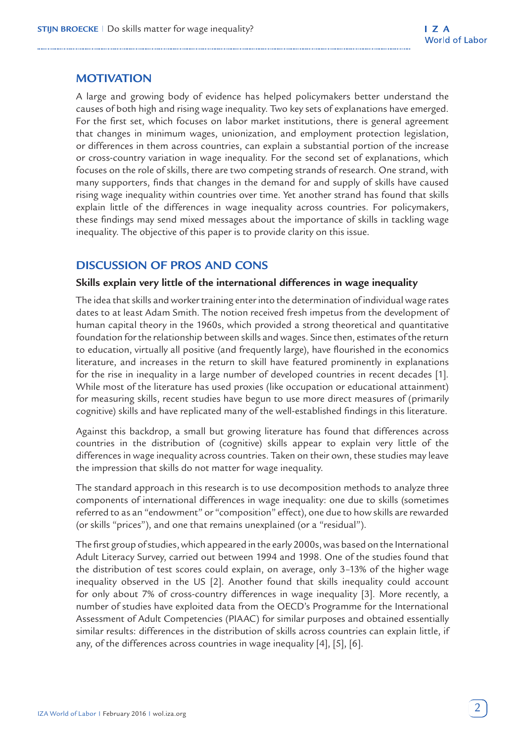# **MOTIVATION**

A large and growing body of evidence has helped policymakers better understand the causes of both high and rising wage inequality. Two key sets of explanations have emerged. For the first set, which focuses on labor market institutions, there is general agreement that changes in minimum wages, unionization, and employment protection legislation, or differences in them across countries, can explain a substantial portion of the increase or cross-country variation in wage inequality. For the second set of explanations, which focuses on the role of skills, there are two competing strands of research. One strand, with many supporters, finds that changes in the demand for and supply of skills have caused rising wage inequality within countries over time. Yet another strand has found that skills explain little of the differences in wage inequality across countries. For policymakers, these findings may send mixed messages about the importance of skills in tackling wage inequality. The objective of this paper is to provide clarity on this issue.

# **DISCUSSION OF PROS AND CONS**

# **Skills explain very little of the international differences in wage inequality**

The idea that skills and worker training enter into the determination of individual wage rates dates to at least Adam Smith. The notion received fresh impetus from the development of human capital theory in the 1960s, which provided a strong theoretical and quantitative foundation for the relationship between skills and wages. Since then, estimates of the return to education, virtually all positive (and frequently large), have flourished in the economics literature, and increases in the return to skill have featured prominently in explanations for the rise in inequality in a large number of developed countries in recent decades [1]. While most of the literature has used proxies (like occupation or educational attainment) for measuring skills, recent studies have begun to use more direct measures of (primarily cognitive) skills and have replicated many of the well-established findings in this literature.

Against this backdrop, a small but growing literature has found that differences across countries in the distribution of (cognitive) skills appear to explain very little of the differences in wage inequality across countries. Taken on their own, these studies may leave the impression that skills do not matter for wage inequality.

The standard approach in this research is to use decomposition methods to analyze three components of international differences in wage inequality: one due to skills (sometimes referred to as an "endowment" or "composition" effect), one due to how skills are rewarded (or skills "prices"), and one that remains unexplained (or a "residual").

The first group of studies, which appeared in the early 2000s, was based on the International Adult Literacy Survey, carried out between 1994 and 1998. One of the studies found that the distribution of test scores could explain, on average, only 3–13% of the higher wage inequality observed in the US [2]. Another found that skills inequality could account for only about 7% of cross-country differences in wage inequality [3]. More recently, a number of studies have exploited data from the OECD's Programme for the International Assessment of Adult Competencies (PIAAC) for similar purposes and obtained essentially similar results: differences in the distribution of skills across countries can explain little, if any, of the differences across countries in wage inequality [4], [5], [6].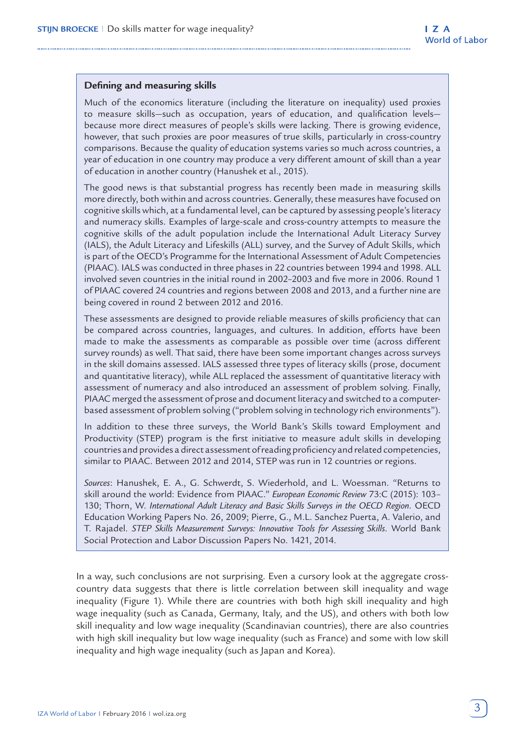## **Defining and measuring skills**

Much of the economics literature (including the literature on inequality) used proxies to measure skills—such as occupation, years of education, and qualification levels because more direct measures of people's skills were lacking. There is growing evidence, however, that such proxies are poor measures of true skills, particularly in cross-country comparisons. Because the quality of education systems varies so much across countries, a year of education in one country may produce a very different amount of skill than a year of education in another country (Hanushek et al., 2015).

The good news is that substantial progress has recently been made in measuring skills more directly, both within and across countries. Generally, these measures have focused on cognitive skills which, at a fundamental level, can be captured by assessing people's literacy and numeracy skills. Examples of large-scale and cross-country attempts to measure the cognitive skills of the adult population include the International Adult Literacy Survey (IALS), the Adult Literacy and Lifeskills (ALL) survey, and the Survey of Adult Skills, which is part of the OECD's Programme for the International Assessment of Adult Competencies (PIAAC). IALS was conducted in three phases in 22 countries between 1994 and 1998. ALL involved seven countries in the initial round in 2002–2003 and five more in 2006. Round 1 of PIAAC covered 24 countries and regions between 2008 and 2013, and a further nine are being covered in round 2 between 2012 and 2016.

These assessments are designed to provide reliable measures of skills proficiency that can be compared across countries, languages, and cultures. In addition, efforts have been made to make the assessments as comparable as possible over time (across different survey rounds) as well. That said, there have been some important changes across surveys in the skill domains assessed. IALS assessed three types of literacy skills (prose, document and quantitative literacy), while ALL replaced the assessment of quantitative literacy with assessment of numeracy and also introduced an assessment of problem solving. Finally, PIAAC merged the assessment of prose and document literacy and switched to a computerbased assessment of problem solving ("problem solving in technology rich environments").

In addition to these three surveys, the World Bank's Skills toward Employment and Productivity (STEP) program is the first initiative to measure adult skills in developing countries and provides a direct assessment of reading proficiency and related competencies, similar to PIAAC. Between 2012 and 2014, STEP was run in 12 countries or regions.

*Sources*: Hanushek, E. A., G. Schwerdt, S. Wiederhold, and L. Woessman. "Returns to skill around the world: Evidence from PIAAC." *European Economic Review* 73:C (2015): 103– 130; Thorn, W. *International Adult Literacy and Basic Skills Surveys in the OECD Region*. OECD Education Working Papers No. 26, 2009; Pierre, G., M.L. Sanchez Puerta, A. Valerio, and T. Rajadel. *STEP Skills Measurement Surveys: Innovative Tools for Assessing Skills*. World Bank Social Protection and Labor Discussion Papers No. 1421, 2014.

In a way, such conclusions are not surprising. Even a cursory look at the aggregate crosscountry data suggests that there is little correlation between skill inequality and wage inequality (Figure 1). While there are countries with both high skill inequality and high wage inequality (such as Canada, Germany, Italy, and the US), and others with both low skill inequality and low wage inequality (Scandinavian countries), there are also countries with high skill inequality but low wage inequality (such as France) and some with low skill inequality and high wage inequality (such as Japan and Korea).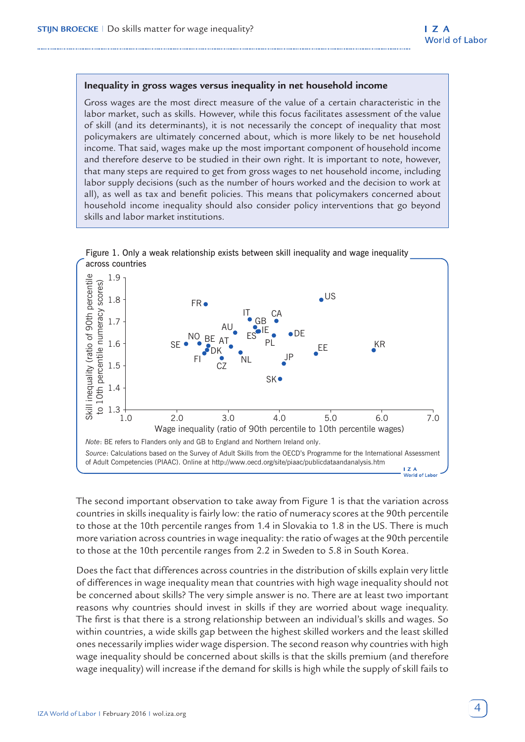#### **Inequality in gross wages versus inequality in net household income**

Gross wages are the most direct measure of the value of a certain characteristic in the labor market, such as skills. However, while this focus facilitates assessment of the value of skill (and its determinants), it is not necessarily the concept of inequality that most policymakers are ultimately concerned about, which is more likely to be net household income. That said, wages make up the most important component of household income and therefore deserve to be studied in their own right. It is important to note, however, that many steps are required to get from gross wages to net household income, including labor supply decisions (such as the number of hours worked and the decision to work at all), as well as tax and benefit policies. This means that policymakers concerned about household income inequality should also consider policy interventions that go beyond skills and labor market institutions.



The second important observation to take away from Figure 1 is that the variation across countries in skills inequality is fairly low: the ratio of numeracy scores at the 90th percentile to those at the 10th percentile ranges from 1.4 in Slovakia to 1.8 in the US. There is much more variation across countries in wage inequality: the ratio of wages at the 90th percentile to those at the 10th percentile ranges from 2.2 in Sweden to 5.8 in South Korea.

Does the fact that differences across countries in the distribution of skills explain very little of differences in wage inequality mean that countries with high wage inequality should not be concerned about skills? The very simple answer is no. There are at least two important reasons why countries should invest in skills if they are worried about wage inequality. The first is that there is a strong relationship between an individual's skills and wages. So within countries, a wide skills gap between the highest skilled workers and the least skilled ones necessarily implies wider wage dispersion. The second reason why countries with high wage inequality should be concerned about skills is that the skills premium (and therefore wage inequality) will increase if the demand for skills is high while the supply of skill fails to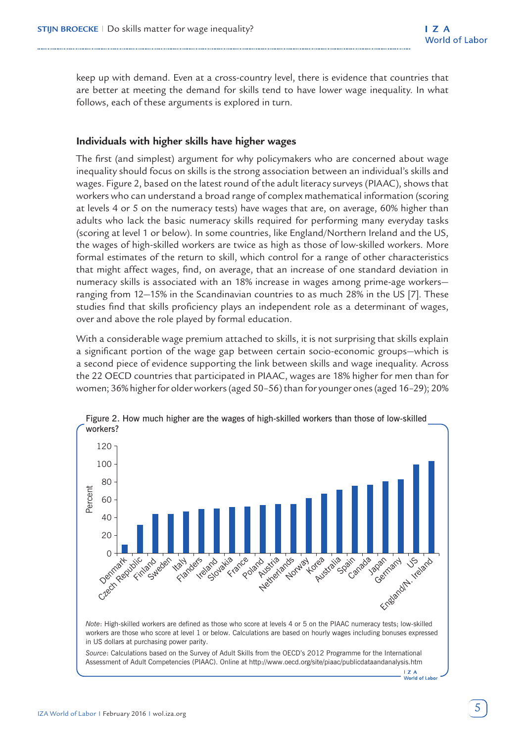keep up with demand. Even at a cross-country level, there is evidence that countries that are better at meeting the demand for skills tend to have lower wage inequality. In what follows, each of these arguments is explored in turn.

## **Individuals with higher skills have higher wages**

The first (and simplest) argument for why policymakers who are concerned about wage inequality should focus on skills is the strong association between an individual's skills and wages. Figure 2, based on the latest round of the adult literacy surveys (PIAAC), shows that workers who can understand a broad range of complex mathematical information (scoring at levels 4 or 5 on the numeracy tests) have wages that are, on average, 60% higher than adults who lack the basic numeracy skills required for performing many everyday tasks (scoring at level 1 or below). In some countries, like England/Northern Ireland and the US, the wages of high-skilled workers are twice as high as those of low-skilled workers. More formal estimates of the return to skill, which control for a range of other characteristics that might affect wages, find, on average, that an increase of one standard deviation in numeracy skills is associated with an 18% increase in wages among prime-age workers ranging from 12—15% in the Scandinavian countries to as much 28% in the US [7]. These studies find that skills proficiency plays an independent role as a determinant of wages, over and above the role played by formal education.

With a considerable wage premium attached to skills, it is not surprising that skills explain a significant portion of the wage gap between certain socio-economic groups—which is a second piece of evidence supporting the link between skills and wage inequality. Across the 22 OECD countries that participated in PIAAC, wages are 18% higher for men than for women; 36% higher for older workers (aged 50–56) than for younger ones (aged 16–29); 20%



Figure 2. How much higher are the wages of high-skilled workers than those of low-skilled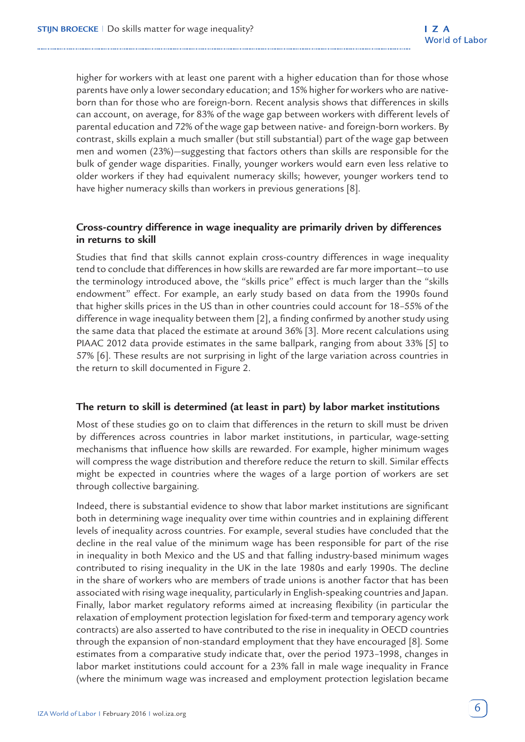higher for workers with at least one parent with a higher education than for those whose parents have only a lower secondary education; and 15% higher for workers who are nativeborn than for those who are foreign-born. Recent analysis shows that differences in skills can account, on average, for 83% of the wage gap between workers with different levels of parental education and 72% of the wage gap between native- and foreign-born workers. By contrast, skills explain a much smaller (but still substantial) part of the wage gap between men and women (23%)—suggesting that factors others than skills are responsible for the bulk of gender wage disparities. Finally, younger workers would earn even less relative to older workers if they had equivalent numeracy skills; however, younger workers tend to have higher numeracy skills than workers in previous generations [8].

## **Cross-country difference in wage inequality are primarily driven by differences in returns to skill**

Studies that find that skills cannot explain cross-country differences in wage inequality tend to conclude that differences in how skills are rewarded are far more important—to use the terminology introduced above, the "skills price" effect is much larger than the "skills endowment" effect. For example, an early study based on data from the 1990s found that higher skills prices in the US than in other countries could account for 18–55% of the difference in wage inequality between them [2], a finding confirmed by another study using the same data that placed the estimate at around 36% [3]. More recent calculations using PIAAC 2012 data provide estimates in the same ballpark, ranging from about 33% [5] to 57% [6]. These results are not surprising in light of the large variation across countries in the return to skill documented in Figure 2.

## **The return to skill is determined (at least in part) by labor market institutions**

Most of these studies go on to claim that differences in the return to skill must be driven by differences across countries in labor market institutions, in particular, wage-setting mechanisms that influence how skills are rewarded. For example, higher minimum wages will compress the wage distribution and therefore reduce the return to skill. Similar effects might be expected in countries where the wages of a large portion of workers are set through collective bargaining.

Indeed, there is substantial evidence to show that labor market institutions are significant both in determining wage inequality over time within countries and in explaining different levels of inequality across countries. For example, several studies have concluded that the decline in the real value of the minimum wage has been responsible for part of the rise in inequality in both Mexico and the US and that falling industry-based minimum wages contributed to rising inequality in the UK in the late 1980s and early 1990s. The decline in the share of workers who are members of trade unions is another factor that has been associated with rising wage inequality, particularly in English-speaking countries and Japan. Finally, labor market regulatory reforms aimed at increasing flexibility (in particular the relaxation of employment protection legislation for fixed-term and temporary agency work contracts) are also asserted to have contributed to the rise in inequality in OECD countries through the expansion of non-standard employment that they have encouraged [8]. Some estimates from a comparative study indicate that, over the period 1973–1998, changes in labor market institutions could account for a 23% fall in male wage inequality in France (where the minimum wage was increased and employment protection legislation became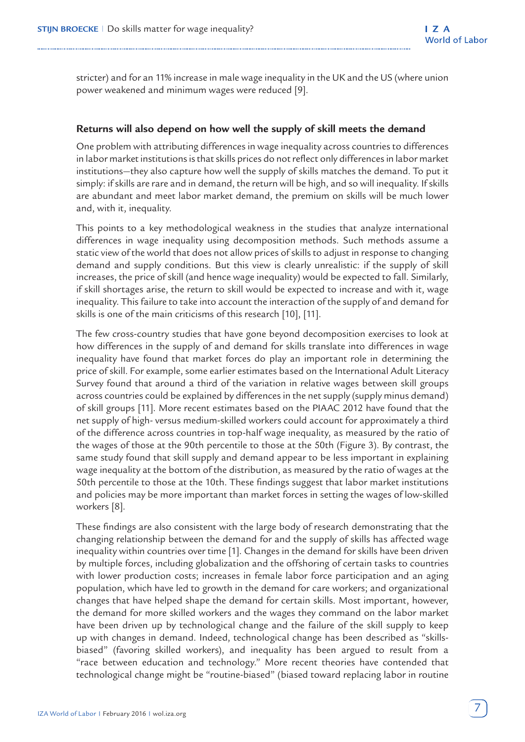stricter) and for an 11% increase in male wage inequality in the UK and the US (where union power weakened and minimum wages were reduced [9].

## **Returns will also depend on how well the supply of skill meets the demand**

One problem with attributing differences in wage inequality across countries to differences in labor market institutions is that skills prices do not reflect only differences in labor market institutions—they also capture how well the supply of skills matches the demand. To put it simply: if skills are rare and in demand, the return will be high, and so will inequality. If skills are abundant and meet labor market demand, the premium on skills will be much lower and, with it, inequality.

This points to a key methodological weakness in the studies that analyze international differences in wage inequality using decomposition methods. Such methods assume a static view of the world that does not allow prices of skills to adjust in response to changing demand and supply conditions. But this view is clearly unrealistic: if the supply of skill increases, the price of skill (and hence wage inequality) would be expected to fall. Similarly, if skill shortages arise, the return to skill would be expected to increase and with it, wage inequality. This failure to take into account the interaction of the supply of and demand for skills is one of the main criticisms of this research [10], [11].

The few cross-country studies that have gone beyond decomposition exercises to look at how differences in the supply of and demand for skills translate into differences in wage inequality have found that market forces do play an important role in determining the price of skill. For example, some earlier estimates based on the International Adult Literacy Survey found that around a third of the variation in relative wages between skill groups across countries could be explained by differences in the net supply (supply minus demand) of skill groups [11]. More recent estimates based on the PIAAC 2012 have found that the net supply of high- versus medium-skilled workers could account for approximately a third of the difference across countries in top-half wage inequality, as measured by the ratio of the wages of those at the 90th percentile to those at the 50th (Figure 3). By contrast, the same study found that skill supply and demand appear to be less important in explaining wage inequality at the bottom of the distribution, as measured by the ratio of wages at the 50th percentile to those at the 10th. These findings suggest that labor market institutions and policies may be more important than market forces in setting the wages of low-skilled workers [8].

These findings are also consistent with the large body of research demonstrating that the changing relationship between the demand for and the supply of skills has affected wage inequality within countries over time [1]. Changes in the demand for skills have been driven by multiple forces, including globalization and the offshoring of certain tasks to countries with lower production costs; increases in female labor force participation and an aging population, which have led to growth in the demand for care workers; and organizational changes that have helped shape the demand for certain skills. Most important, however, the demand for more skilled workers and the wages they command on the labor market have been driven up by technological change and the failure of the skill supply to keep up with changes in demand. Indeed, technological change has been described as "skillsbiased" (favoring skilled workers), and inequality has been argued to result from a "race between education and technology." More recent theories have contended that technological change might be "routine-biased" (biased toward replacing labor in routine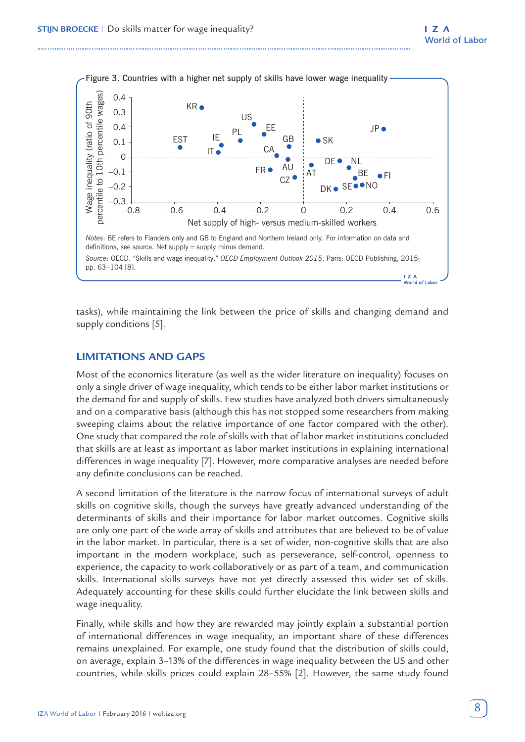

tasks), while maintaining the link between the price of skills and changing demand and supply conditions [5].

## **LIMITATIONS AND GAPS**

Most of the economics literature (as well as the wider literature on inequality) focuses on only a single driver of wage inequality, which tends to be either labor market institutions or the demand for and supply of skills. Few studies have analyzed both drivers simultaneously and on a comparative basis (although this has not stopped some researchers from making sweeping claims about the relative importance of one factor compared with the other). One study that compared the role of skills with that of labor market institutions concluded that skills are at least as important as labor market institutions in explaining international differences in wage inequality [7]. However, more comparative analyses are needed before any definite conclusions can be reached.

A second limitation of the literature is the narrow focus of international surveys of adult skills on cognitive skills, though the surveys have greatly advanced understanding of the determinants of skills and their importance for labor market outcomes. Cognitive skills are only one part of the wide array of skills and attributes that are believed to be of value in the labor market. In particular, there is a set of wider, non-cognitive skills that are also important in the modern workplace, such as perseverance, self-control, openness to experience, the capacity to work collaboratively or as part of a team, and communication skills. International skills surveys have not yet directly assessed this wider set of skills. Adequately accounting for these skills could further elucidate the link between skills and wage inequality.

Finally, while skills and how they are rewarded may jointly explain a substantial portion of international differences in wage inequality, an important share of these differences remains unexplained. For example, one study found that the distribution of skills could, on average, explain 3–13% of the differences in wage inequality between the US and other countries, while skills prices could explain 28–55% [2]. However, the same study found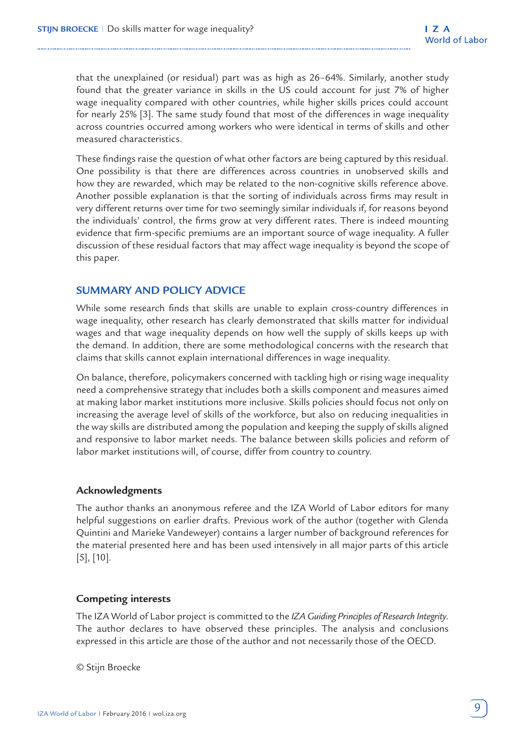that the unexplained (or residual) part was as high as 26–64%. Similarly, another study found that the greater variance in skills in the US could account for just 7% of higher wage inequality compared with other countries, while higher skills prices could account for nearly 25% [3]. The same study found that most of the differences in wage inequality across countries occurred among workers who were identical in terms of skills and other measured characteristics.

These findings raise the question of what other factors are being captured by this residual. One possibility is that there are differences across countries in unobserved skills and how they are rewarded, which may be related to the non-cognitive skills reference above. Another possible explanation is that the sorting of individuals across firms may result in very different returns over time for two seemingly similar individuals if, for reasons beyond the individuals' control, the firms grow at very different rates. There is indeed mounting evidence that firm-specific premiums are an important source of wage inequality. A fuller discussion of these residual factors that may affect wage inequality is beyond the scope of this paper.

# **SUMMARY AND POLICY ADVICE**

While some research finds that skills are unable to explain cross-country differences in wage inequality, other research has clearly demonstrated that skills matter for individual wages and that wage inequality depends on how well the supply of skills keeps up with the demand. In addition, there are some methodological concerns with the research that claims that skills cannot explain international differences in wage inequality.

On balance, therefore, policymakers concerned with tackling high or rising wage inequality need a comprehensive strategy that includes both a skills component and measures aimed at making labor market institutions more inclusive. Skills policies should focus not only on increasing the average level of skills of the workforce, but also on reducing inequalities in the way skills are distributed among the population and keeping the supply of skills aligned and responsive to labor market needs. The balance between skills policies and reform of labor market institutions will, of course, differ from country to country.

#### **Acknowledgments**

The author thanks an anonymous referee and the IZA World of Labor editors for many helpful suggestions on earlier drafts. Previous work of the author (together with Glenda Quintini and Marieke Vandeweyer) contains a larger number of background references for the material presented here and has been used intensively in all major parts of this article [5], [10].

## **Competing interests**

The IZA World of Labor project is committed to the *IZA Guiding Principles of Research Integrity*. The author declares to have observed these principles. The analysis and conclusions expressed in this article are those of the author and not necessarily those of the OECD.

© Stijn Broecke